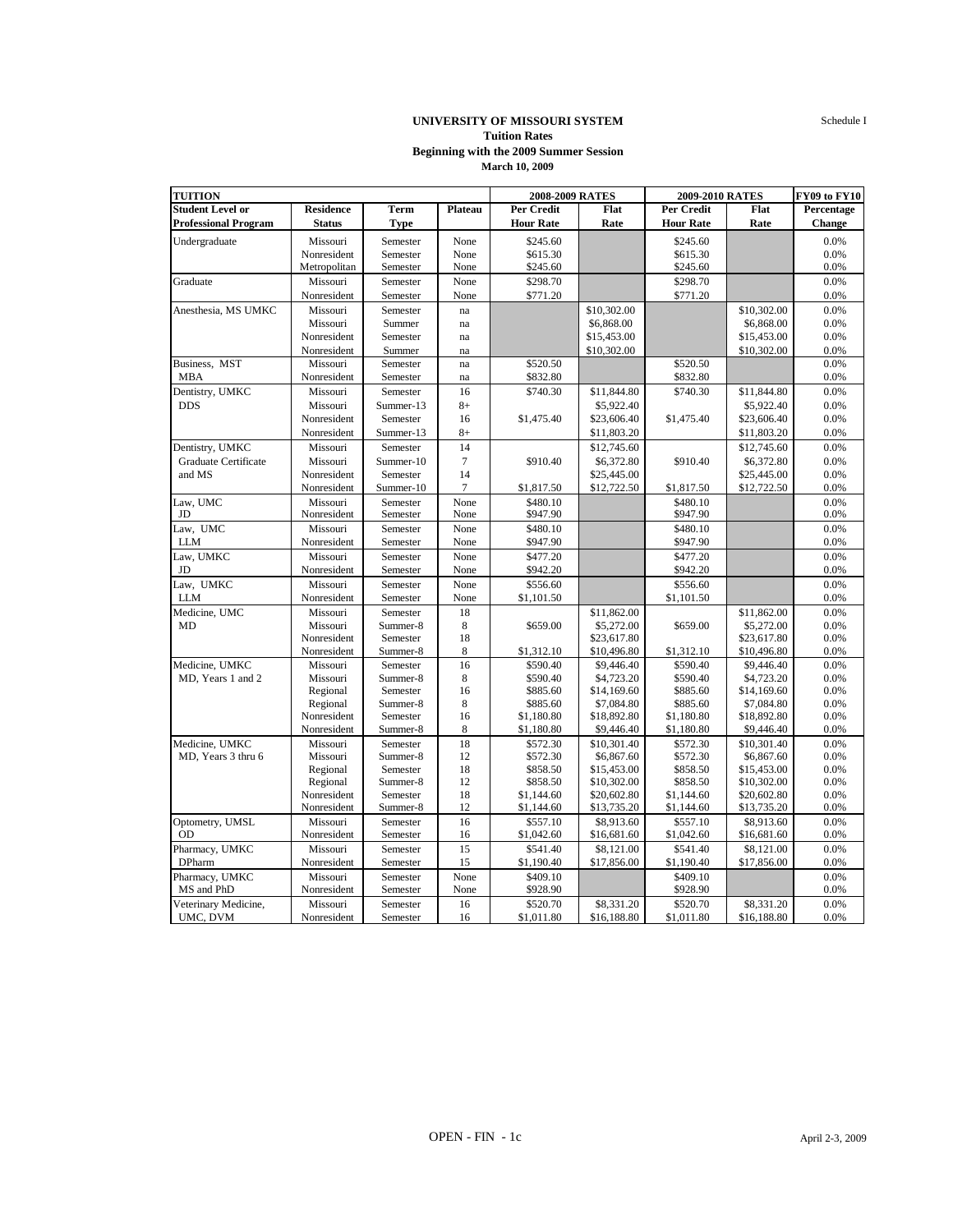Schedule I

## **UNIVERSITY OF MISSOURI SYSTEM Tuition Rates March 10, 2009 Beginning with the 2009 Summer Session**

| <b>Student Level or</b><br><b>Residence</b><br><b>Term</b><br>Plateau<br>Per Credit<br>Flat<br>Per Credit<br>Flat<br>Percentage<br><b>Hour Rate</b><br><b>Hour Rate</b><br>Change<br><b>Professional Program</b><br><b>Status</b><br><b>Type</b><br>Rate<br>Rate<br>None<br>\$245.60<br>0.0%<br>Undergraduate<br>Missouri<br>Semester<br>\$245.60<br>0.0%<br>Nonresident<br>Semester<br>None<br>\$615.30<br>\$615.30<br>0.0%<br>Metropolitan<br>Semester<br>None<br>\$245.60<br>\$245.60<br>\$298.70<br>\$298.70<br>0.0%<br>Graduate<br>Missouri<br>Semester<br>None<br>Nonresident<br>Semester<br>\$771.20<br>\$771.20<br>0.0%<br>None<br>0.0%<br>Anesthesia, MS UMKC<br>Missouri<br>Semester<br>\$10,302.00<br>\$10,302.00<br>na<br>\$6,868.00<br>0.0%<br>Missouri<br>Summer<br>\$6,868.00<br>na<br>\$15,453.00<br>0.0%<br>Nonresident<br>Semester<br>\$15,453.00<br>na<br>Nonresident<br>Summer<br>\$10,302.00<br>\$10,302.00<br>0.0%<br>na<br>Business, MST<br>\$520.50<br>\$520.50<br>0.0%<br>Missouri<br>Semester<br>na<br><b>MBA</b><br>\$832.80<br>\$832.80<br>0.0%<br>Nonresident<br>Semester<br>na<br>Dentistry, UMKC<br>Missouri<br>16<br>\$740.30<br>\$11,844.80<br>\$740.30<br>\$11,844.80<br>0.0%<br>Semester<br>$8+$<br>\$5,922.40<br>0.0%<br><b>DDS</b><br>Missouri<br>Summer-13<br>\$5,922.40<br>0.0%<br>Nonresident<br>Semester<br>16<br>\$1,475.40<br>\$23,606.40<br>\$1,475.40<br>\$23,606.40<br>Nonresident<br>$8+$<br>\$11,803.20<br>\$11,803.20<br>0.0%<br>Summer-13<br>14<br>Dentistry, UMKC<br>Missouri<br>\$12,745.60<br>0.0%<br>Semester<br>\$12,745.60<br>Graduate Certificate<br>$7\phantom{.0}$<br>\$910.40<br>\$6,372.80<br>\$910.40<br>\$6,372.80<br>0.0%<br>Missouri<br>Summer-10<br>14<br>\$25,445.00<br>0.0%<br>and MS<br>Nonresident<br>Semester<br>\$25,445.00<br>Summer-10<br>$\overline{7}$<br>\$1,817.50<br>\$12,722.50<br>\$12,722.50<br>0.0%<br>Nonresident<br>\$1,817.50<br>Law, UMC<br>None<br>\$480.10<br>\$480.10<br>0.0%<br>Missouri<br>Semester<br>JD<br>Nonresident<br>Semester<br>None<br>\$947.90<br>\$947.90<br>0.0%<br>Law, UMC<br>None<br>\$480.10<br>0.0%<br>Missouri<br>Semester<br>\$480.10<br><b>LLM</b><br>\$947.90<br>\$947.90<br>0.0%<br>Nonresident<br>Semester<br>None<br>Law, UMKC<br>\$477.20<br>0.0%<br>Missouri<br>Semester<br>None<br>\$477.20<br>Nonresident<br>None<br>\$942.20<br>\$942.20<br>0.0%<br>JD<br>Semester<br>Law, UMKC<br>Missouri<br>None<br>\$556.60<br>\$556.60<br>0.0%<br>Semester<br>0.0%<br><b>LLM</b><br>Nonresident<br>Semester<br>None<br>\$1,101.50<br>\$1,101.50<br>Medicine, UMC<br>0.0%<br>Missouri<br>Semester<br>18<br>\$11,862.00<br>\$11,862.00<br>8<br>0.0%<br>MD<br>Missouri<br>Summer-8<br>\$659.00<br>\$5,272.00<br>\$659.00<br>\$5,272.00<br>18<br>0.0%<br>Nonresident<br>Semester<br>\$23,617.80<br>\$23,617.80<br>8<br>Nonresident<br>Summer-8<br>\$1,312.10<br>\$10,496.80<br>\$1,312.10<br>\$10,496.80<br>0.0%<br>Medicine, UMKC<br>16<br>\$590.40<br>\$590.40<br>0.0%<br>Missouri<br>Semester<br>\$9,446.40<br>\$9,446.40<br>Summer-8<br>8<br>\$590.40<br>\$4,723.20<br>\$590.40<br>\$4,723.20<br>0.0%<br>MD. Years 1 and 2<br>Missouri<br>0.0%<br>16<br>\$885.60<br>\$885.60<br>\$14,169.60<br>Regional<br>Semester<br>\$14,169.60<br>8<br>\$885.60<br>\$7,084.80<br>\$885.60<br>\$7,084.80<br>0.0%<br>Regional<br>Summer-8<br>Nonresident<br>16<br>\$1,180.80<br>\$18,892.80<br>\$1,180.80<br>\$18,892.80<br>0.0%<br>Semester<br>Nonresident<br>Summer-8<br>8<br>\$1,180.80<br>\$9,446.40<br>\$1,180.80<br>\$9,446.40<br>0.0%<br>Medicine, UMKC<br>18<br>\$572.30<br>\$10,301.40<br>\$572.30<br>\$10,301.40<br>0.0%<br>Missouri<br>Semester<br>12<br>\$572.30<br>\$6,867.60<br>\$572.30<br>\$6,867.60<br>0.0%<br>MD, Years 3 thru 6<br>Missouri<br>Summer-8<br>18<br>0.0%<br>Regional<br>Semester<br>\$858.50<br>\$15,453.00<br>\$858.50<br>\$15,453.00<br>12<br>\$858.50<br>\$10,302.00<br>\$858.50<br>\$10,302.00<br>0.0%<br>Regional<br>Summer-8<br>Nonresident<br>Semester<br>18<br>\$1,144.60<br>\$20,602.80<br>\$1,144.60<br>\$20,602.80<br>0.0%<br>Nonresident<br>12<br>\$1,144.60<br>\$13,735.20<br>\$1,144.60<br>\$13,735.20<br>0.0%<br>Summer-8<br>Optometry, UMSL<br>16<br>\$557.10<br>\$8,913.60<br>\$557.10<br>\$8,913.60<br>0.0%<br>Missouri<br>Semester<br>\$16,681.60<br>0.0%<br>Nonresident<br>Semester<br>16<br>\$1,042.60<br>\$16,681.60<br>\$1,042.60<br><b>OD</b><br>Pharmacy, UMKC<br>15<br>Missouri<br>Semester<br>\$541.40<br>\$8,121.00<br>\$541.40<br>\$8,121.00<br>0.0%<br><b>DPharm</b><br>Nonresident<br>Semester<br>15<br>\$1,190.40<br>\$17,856.00<br>\$1,190.40<br>\$17,856.00<br>0.0%<br>Pharmacy, UMKC<br>None<br>0.0%<br>Missouri<br>Semester<br>\$409.10<br>\$409.10<br>MS and PhD<br>Nonresident<br>Semester<br>None<br>\$928.90<br>\$928.90<br>0.0%<br>Veterinary Medicine,<br>Missouri<br>16<br>\$8,331.20<br>\$520.70<br>\$8,331.20<br>0.0%<br>Semester<br>\$520.70 | <b>TUITION</b> |             |          |    | 2008-2009 RATES |             | 2009-2010 RATES |             | <b>FY09 to FY10</b> |
|----------------------------------------------------------------------------------------------------------------------------------------------------------------------------------------------------------------------------------------------------------------------------------------------------------------------------------------------------------------------------------------------------------------------------------------------------------------------------------------------------------------------------------------------------------------------------------------------------------------------------------------------------------------------------------------------------------------------------------------------------------------------------------------------------------------------------------------------------------------------------------------------------------------------------------------------------------------------------------------------------------------------------------------------------------------------------------------------------------------------------------------------------------------------------------------------------------------------------------------------------------------------------------------------------------------------------------------------------------------------------------------------------------------------------------------------------------------------------------------------------------------------------------------------------------------------------------------------------------------------------------------------------------------------------------------------------------------------------------------------------------------------------------------------------------------------------------------------------------------------------------------------------------------------------------------------------------------------------------------------------------------------------------------------------------------------------------------------------------------------------------------------------------------------------------------------------------------------------------------------------------------------------------------------------------------------------------------------------------------------------------------------------------------------------------------------------------------------------------------------------------------------------------------------------------------------------------------------------------------------------------------------------------------------------------------------------------------------------------------------------------------------------------------------------------------------------------------------------------------------------------------------------------------------------------------------------------------------------------------------------------------------------------------------------------------------------------------------------------------------------------------------------------------------------------------------------------------------------------------------------------------------------------------------------------------------------------------------------------------------------------------------------------------------------------------------------------------------------------------------------------------------------------------------------------------------------------------------------------------------------------------------------------------------------------------------------------------------------------------------------------------------------------------------------------------------------------------------------------------------------------------------------------------------------------------------------------------------------------------------------------------------------------------------------------------------------------------------------------------------------------------------------------------------------------------------------------------------------------------------------------------------------------------------------------------------------------------------------------------------------------------------------------------------------------------------------------------------------------------------------------------------------------------------------------------------------------------------------------------------------------------------------------------------------------------------------------------------------------------------------------------------------------------------------------------------------------------------------------------------------------------------------------------------------|----------------|-------------|----------|----|-----------------|-------------|-----------------|-------------|---------------------|
|                                                                                                                                                                                                                                                                                                                                                                                                                                                                                                                                                                                                                                                                                                                                                                                                                                                                                                                                                                                                                                                                                                                                                                                                                                                                                                                                                                                                                                                                                                                                                                                                                                                                                                                                                                                                                                                                                                                                                                                                                                                                                                                                                                                                                                                                                                                                                                                                                                                                                                                                                                                                                                                                                                                                                                                                                                                                                                                                                                                                                                                                                                                                                                                                                                                                                                                                                                                                                                                                                                                                                                                                                                                                                                                                                                                                                                                                                                                                                                                                                                                                                                                                                                                                                                                                                                                                                                                                                                                                                                                                                                                                                                                                                                                                                                                                                                                                                                                            |                |             |          |    |                 |             |                 |             |                     |
|                                                                                                                                                                                                                                                                                                                                                                                                                                                                                                                                                                                                                                                                                                                                                                                                                                                                                                                                                                                                                                                                                                                                                                                                                                                                                                                                                                                                                                                                                                                                                                                                                                                                                                                                                                                                                                                                                                                                                                                                                                                                                                                                                                                                                                                                                                                                                                                                                                                                                                                                                                                                                                                                                                                                                                                                                                                                                                                                                                                                                                                                                                                                                                                                                                                                                                                                                                                                                                                                                                                                                                                                                                                                                                                                                                                                                                                                                                                                                                                                                                                                                                                                                                                                                                                                                                                                                                                                                                                                                                                                                                                                                                                                                                                                                                                                                                                                                                                            |                |             |          |    |                 |             |                 |             |                     |
|                                                                                                                                                                                                                                                                                                                                                                                                                                                                                                                                                                                                                                                                                                                                                                                                                                                                                                                                                                                                                                                                                                                                                                                                                                                                                                                                                                                                                                                                                                                                                                                                                                                                                                                                                                                                                                                                                                                                                                                                                                                                                                                                                                                                                                                                                                                                                                                                                                                                                                                                                                                                                                                                                                                                                                                                                                                                                                                                                                                                                                                                                                                                                                                                                                                                                                                                                                                                                                                                                                                                                                                                                                                                                                                                                                                                                                                                                                                                                                                                                                                                                                                                                                                                                                                                                                                                                                                                                                                                                                                                                                                                                                                                                                                                                                                                                                                                                                                            |                |             |          |    |                 |             |                 |             |                     |
|                                                                                                                                                                                                                                                                                                                                                                                                                                                                                                                                                                                                                                                                                                                                                                                                                                                                                                                                                                                                                                                                                                                                                                                                                                                                                                                                                                                                                                                                                                                                                                                                                                                                                                                                                                                                                                                                                                                                                                                                                                                                                                                                                                                                                                                                                                                                                                                                                                                                                                                                                                                                                                                                                                                                                                                                                                                                                                                                                                                                                                                                                                                                                                                                                                                                                                                                                                                                                                                                                                                                                                                                                                                                                                                                                                                                                                                                                                                                                                                                                                                                                                                                                                                                                                                                                                                                                                                                                                                                                                                                                                                                                                                                                                                                                                                                                                                                                                                            |                |             |          |    |                 |             |                 |             |                     |
|                                                                                                                                                                                                                                                                                                                                                                                                                                                                                                                                                                                                                                                                                                                                                                                                                                                                                                                                                                                                                                                                                                                                                                                                                                                                                                                                                                                                                                                                                                                                                                                                                                                                                                                                                                                                                                                                                                                                                                                                                                                                                                                                                                                                                                                                                                                                                                                                                                                                                                                                                                                                                                                                                                                                                                                                                                                                                                                                                                                                                                                                                                                                                                                                                                                                                                                                                                                                                                                                                                                                                                                                                                                                                                                                                                                                                                                                                                                                                                                                                                                                                                                                                                                                                                                                                                                                                                                                                                                                                                                                                                                                                                                                                                                                                                                                                                                                                                                            |                |             |          |    |                 |             |                 |             |                     |
|                                                                                                                                                                                                                                                                                                                                                                                                                                                                                                                                                                                                                                                                                                                                                                                                                                                                                                                                                                                                                                                                                                                                                                                                                                                                                                                                                                                                                                                                                                                                                                                                                                                                                                                                                                                                                                                                                                                                                                                                                                                                                                                                                                                                                                                                                                                                                                                                                                                                                                                                                                                                                                                                                                                                                                                                                                                                                                                                                                                                                                                                                                                                                                                                                                                                                                                                                                                                                                                                                                                                                                                                                                                                                                                                                                                                                                                                                                                                                                                                                                                                                                                                                                                                                                                                                                                                                                                                                                                                                                                                                                                                                                                                                                                                                                                                                                                                                                                            |                |             |          |    |                 |             |                 |             |                     |
|                                                                                                                                                                                                                                                                                                                                                                                                                                                                                                                                                                                                                                                                                                                                                                                                                                                                                                                                                                                                                                                                                                                                                                                                                                                                                                                                                                                                                                                                                                                                                                                                                                                                                                                                                                                                                                                                                                                                                                                                                                                                                                                                                                                                                                                                                                                                                                                                                                                                                                                                                                                                                                                                                                                                                                                                                                                                                                                                                                                                                                                                                                                                                                                                                                                                                                                                                                                                                                                                                                                                                                                                                                                                                                                                                                                                                                                                                                                                                                                                                                                                                                                                                                                                                                                                                                                                                                                                                                                                                                                                                                                                                                                                                                                                                                                                                                                                                                                            |                |             |          |    |                 |             |                 |             |                     |
|                                                                                                                                                                                                                                                                                                                                                                                                                                                                                                                                                                                                                                                                                                                                                                                                                                                                                                                                                                                                                                                                                                                                                                                                                                                                                                                                                                                                                                                                                                                                                                                                                                                                                                                                                                                                                                                                                                                                                                                                                                                                                                                                                                                                                                                                                                                                                                                                                                                                                                                                                                                                                                                                                                                                                                                                                                                                                                                                                                                                                                                                                                                                                                                                                                                                                                                                                                                                                                                                                                                                                                                                                                                                                                                                                                                                                                                                                                                                                                                                                                                                                                                                                                                                                                                                                                                                                                                                                                                                                                                                                                                                                                                                                                                                                                                                                                                                                                                            |                |             |          |    |                 |             |                 |             |                     |
|                                                                                                                                                                                                                                                                                                                                                                                                                                                                                                                                                                                                                                                                                                                                                                                                                                                                                                                                                                                                                                                                                                                                                                                                                                                                                                                                                                                                                                                                                                                                                                                                                                                                                                                                                                                                                                                                                                                                                                                                                                                                                                                                                                                                                                                                                                                                                                                                                                                                                                                                                                                                                                                                                                                                                                                                                                                                                                                                                                                                                                                                                                                                                                                                                                                                                                                                                                                                                                                                                                                                                                                                                                                                                                                                                                                                                                                                                                                                                                                                                                                                                                                                                                                                                                                                                                                                                                                                                                                                                                                                                                                                                                                                                                                                                                                                                                                                                                                            |                |             |          |    |                 |             |                 |             |                     |
|                                                                                                                                                                                                                                                                                                                                                                                                                                                                                                                                                                                                                                                                                                                                                                                                                                                                                                                                                                                                                                                                                                                                                                                                                                                                                                                                                                                                                                                                                                                                                                                                                                                                                                                                                                                                                                                                                                                                                                                                                                                                                                                                                                                                                                                                                                                                                                                                                                                                                                                                                                                                                                                                                                                                                                                                                                                                                                                                                                                                                                                                                                                                                                                                                                                                                                                                                                                                                                                                                                                                                                                                                                                                                                                                                                                                                                                                                                                                                                                                                                                                                                                                                                                                                                                                                                                                                                                                                                                                                                                                                                                                                                                                                                                                                                                                                                                                                                                            |                |             |          |    |                 |             |                 |             |                     |
|                                                                                                                                                                                                                                                                                                                                                                                                                                                                                                                                                                                                                                                                                                                                                                                                                                                                                                                                                                                                                                                                                                                                                                                                                                                                                                                                                                                                                                                                                                                                                                                                                                                                                                                                                                                                                                                                                                                                                                                                                                                                                                                                                                                                                                                                                                                                                                                                                                                                                                                                                                                                                                                                                                                                                                                                                                                                                                                                                                                                                                                                                                                                                                                                                                                                                                                                                                                                                                                                                                                                                                                                                                                                                                                                                                                                                                                                                                                                                                                                                                                                                                                                                                                                                                                                                                                                                                                                                                                                                                                                                                                                                                                                                                                                                                                                                                                                                                                            |                |             |          |    |                 |             |                 |             |                     |
|                                                                                                                                                                                                                                                                                                                                                                                                                                                                                                                                                                                                                                                                                                                                                                                                                                                                                                                                                                                                                                                                                                                                                                                                                                                                                                                                                                                                                                                                                                                                                                                                                                                                                                                                                                                                                                                                                                                                                                                                                                                                                                                                                                                                                                                                                                                                                                                                                                                                                                                                                                                                                                                                                                                                                                                                                                                                                                                                                                                                                                                                                                                                                                                                                                                                                                                                                                                                                                                                                                                                                                                                                                                                                                                                                                                                                                                                                                                                                                                                                                                                                                                                                                                                                                                                                                                                                                                                                                                                                                                                                                                                                                                                                                                                                                                                                                                                                                                            |                |             |          |    |                 |             |                 |             |                     |
|                                                                                                                                                                                                                                                                                                                                                                                                                                                                                                                                                                                                                                                                                                                                                                                                                                                                                                                                                                                                                                                                                                                                                                                                                                                                                                                                                                                                                                                                                                                                                                                                                                                                                                                                                                                                                                                                                                                                                                                                                                                                                                                                                                                                                                                                                                                                                                                                                                                                                                                                                                                                                                                                                                                                                                                                                                                                                                                                                                                                                                                                                                                                                                                                                                                                                                                                                                                                                                                                                                                                                                                                                                                                                                                                                                                                                                                                                                                                                                                                                                                                                                                                                                                                                                                                                                                                                                                                                                                                                                                                                                                                                                                                                                                                                                                                                                                                                                                            |                |             |          |    |                 |             |                 |             |                     |
|                                                                                                                                                                                                                                                                                                                                                                                                                                                                                                                                                                                                                                                                                                                                                                                                                                                                                                                                                                                                                                                                                                                                                                                                                                                                                                                                                                                                                                                                                                                                                                                                                                                                                                                                                                                                                                                                                                                                                                                                                                                                                                                                                                                                                                                                                                                                                                                                                                                                                                                                                                                                                                                                                                                                                                                                                                                                                                                                                                                                                                                                                                                                                                                                                                                                                                                                                                                                                                                                                                                                                                                                                                                                                                                                                                                                                                                                                                                                                                                                                                                                                                                                                                                                                                                                                                                                                                                                                                                                                                                                                                                                                                                                                                                                                                                                                                                                                                                            |                |             |          |    |                 |             |                 |             |                     |
|                                                                                                                                                                                                                                                                                                                                                                                                                                                                                                                                                                                                                                                                                                                                                                                                                                                                                                                                                                                                                                                                                                                                                                                                                                                                                                                                                                                                                                                                                                                                                                                                                                                                                                                                                                                                                                                                                                                                                                                                                                                                                                                                                                                                                                                                                                                                                                                                                                                                                                                                                                                                                                                                                                                                                                                                                                                                                                                                                                                                                                                                                                                                                                                                                                                                                                                                                                                                                                                                                                                                                                                                                                                                                                                                                                                                                                                                                                                                                                                                                                                                                                                                                                                                                                                                                                                                                                                                                                                                                                                                                                                                                                                                                                                                                                                                                                                                                                                            |                |             |          |    |                 |             |                 |             |                     |
|                                                                                                                                                                                                                                                                                                                                                                                                                                                                                                                                                                                                                                                                                                                                                                                                                                                                                                                                                                                                                                                                                                                                                                                                                                                                                                                                                                                                                                                                                                                                                                                                                                                                                                                                                                                                                                                                                                                                                                                                                                                                                                                                                                                                                                                                                                                                                                                                                                                                                                                                                                                                                                                                                                                                                                                                                                                                                                                                                                                                                                                                                                                                                                                                                                                                                                                                                                                                                                                                                                                                                                                                                                                                                                                                                                                                                                                                                                                                                                                                                                                                                                                                                                                                                                                                                                                                                                                                                                                                                                                                                                                                                                                                                                                                                                                                                                                                                                                            |                |             |          |    |                 |             |                 |             |                     |
|                                                                                                                                                                                                                                                                                                                                                                                                                                                                                                                                                                                                                                                                                                                                                                                                                                                                                                                                                                                                                                                                                                                                                                                                                                                                                                                                                                                                                                                                                                                                                                                                                                                                                                                                                                                                                                                                                                                                                                                                                                                                                                                                                                                                                                                                                                                                                                                                                                                                                                                                                                                                                                                                                                                                                                                                                                                                                                                                                                                                                                                                                                                                                                                                                                                                                                                                                                                                                                                                                                                                                                                                                                                                                                                                                                                                                                                                                                                                                                                                                                                                                                                                                                                                                                                                                                                                                                                                                                                                                                                                                                                                                                                                                                                                                                                                                                                                                                                            |                |             |          |    |                 |             |                 |             |                     |
|                                                                                                                                                                                                                                                                                                                                                                                                                                                                                                                                                                                                                                                                                                                                                                                                                                                                                                                                                                                                                                                                                                                                                                                                                                                                                                                                                                                                                                                                                                                                                                                                                                                                                                                                                                                                                                                                                                                                                                                                                                                                                                                                                                                                                                                                                                                                                                                                                                                                                                                                                                                                                                                                                                                                                                                                                                                                                                                                                                                                                                                                                                                                                                                                                                                                                                                                                                                                                                                                                                                                                                                                                                                                                                                                                                                                                                                                                                                                                                                                                                                                                                                                                                                                                                                                                                                                                                                                                                                                                                                                                                                                                                                                                                                                                                                                                                                                                                                            |                |             |          |    |                 |             |                 |             |                     |
|                                                                                                                                                                                                                                                                                                                                                                                                                                                                                                                                                                                                                                                                                                                                                                                                                                                                                                                                                                                                                                                                                                                                                                                                                                                                                                                                                                                                                                                                                                                                                                                                                                                                                                                                                                                                                                                                                                                                                                                                                                                                                                                                                                                                                                                                                                                                                                                                                                                                                                                                                                                                                                                                                                                                                                                                                                                                                                                                                                                                                                                                                                                                                                                                                                                                                                                                                                                                                                                                                                                                                                                                                                                                                                                                                                                                                                                                                                                                                                                                                                                                                                                                                                                                                                                                                                                                                                                                                                                                                                                                                                                                                                                                                                                                                                                                                                                                                                                            |                |             |          |    |                 |             |                 |             |                     |
|                                                                                                                                                                                                                                                                                                                                                                                                                                                                                                                                                                                                                                                                                                                                                                                                                                                                                                                                                                                                                                                                                                                                                                                                                                                                                                                                                                                                                                                                                                                                                                                                                                                                                                                                                                                                                                                                                                                                                                                                                                                                                                                                                                                                                                                                                                                                                                                                                                                                                                                                                                                                                                                                                                                                                                                                                                                                                                                                                                                                                                                                                                                                                                                                                                                                                                                                                                                                                                                                                                                                                                                                                                                                                                                                                                                                                                                                                                                                                                                                                                                                                                                                                                                                                                                                                                                                                                                                                                                                                                                                                                                                                                                                                                                                                                                                                                                                                                                            |                |             |          |    |                 |             |                 |             |                     |
|                                                                                                                                                                                                                                                                                                                                                                                                                                                                                                                                                                                                                                                                                                                                                                                                                                                                                                                                                                                                                                                                                                                                                                                                                                                                                                                                                                                                                                                                                                                                                                                                                                                                                                                                                                                                                                                                                                                                                                                                                                                                                                                                                                                                                                                                                                                                                                                                                                                                                                                                                                                                                                                                                                                                                                                                                                                                                                                                                                                                                                                                                                                                                                                                                                                                                                                                                                                                                                                                                                                                                                                                                                                                                                                                                                                                                                                                                                                                                                                                                                                                                                                                                                                                                                                                                                                                                                                                                                                                                                                                                                                                                                                                                                                                                                                                                                                                                                                            |                |             |          |    |                 |             |                 |             |                     |
|                                                                                                                                                                                                                                                                                                                                                                                                                                                                                                                                                                                                                                                                                                                                                                                                                                                                                                                                                                                                                                                                                                                                                                                                                                                                                                                                                                                                                                                                                                                                                                                                                                                                                                                                                                                                                                                                                                                                                                                                                                                                                                                                                                                                                                                                                                                                                                                                                                                                                                                                                                                                                                                                                                                                                                                                                                                                                                                                                                                                                                                                                                                                                                                                                                                                                                                                                                                                                                                                                                                                                                                                                                                                                                                                                                                                                                                                                                                                                                                                                                                                                                                                                                                                                                                                                                                                                                                                                                                                                                                                                                                                                                                                                                                                                                                                                                                                                                                            |                |             |          |    |                 |             |                 |             |                     |
|                                                                                                                                                                                                                                                                                                                                                                                                                                                                                                                                                                                                                                                                                                                                                                                                                                                                                                                                                                                                                                                                                                                                                                                                                                                                                                                                                                                                                                                                                                                                                                                                                                                                                                                                                                                                                                                                                                                                                                                                                                                                                                                                                                                                                                                                                                                                                                                                                                                                                                                                                                                                                                                                                                                                                                                                                                                                                                                                                                                                                                                                                                                                                                                                                                                                                                                                                                                                                                                                                                                                                                                                                                                                                                                                                                                                                                                                                                                                                                                                                                                                                                                                                                                                                                                                                                                                                                                                                                                                                                                                                                                                                                                                                                                                                                                                                                                                                                                            |                |             |          |    |                 |             |                 |             |                     |
|                                                                                                                                                                                                                                                                                                                                                                                                                                                                                                                                                                                                                                                                                                                                                                                                                                                                                                                                                                                                                                                                                                                                                                                                                                                                                                                                                                                                                                                                                                                                                                                                                                                                                                                                                                                                                                                                                                                                                                                                                                                                                                                                                                                                                                                                                                                                                                                                                                                                                                                                                                                                                                                                                                                                                                                                                                                                                                                                                                                                                                                                                                                                                                                                                                                                                                                                                                                                                                                                                                                                                                                                                                                                                                                                                                                                                                                                                                                                                                                                                                                                                                                                                                                                                                                                                                                                                                                                                                                                                                                                                                                                                                                                                                                                                                                                                                                                                                                            |                |             |          |    |                 |             |                 |             |                     |
|                                                                                                                                                                                                                                                                                                                                                                                                                                                                                                                                                                                                                                                                                                                                                                                                                                                                                                                                                                                                                                                                                                                                                                                                                                                                                                                                                                                                                                                                                                                                                                                                                                                                                                                                                                                                                                                                                                                                                                                                                                                                                                                                                                                                                                                                                                                                                                                                                                                                                                                                                                                                                                                                                                                                                                                                                                                                                                                                                                                                                                                                                                                                                                                                                                                                                                                                                                                                                                                                                                                                                                                                                                                                                                                                                                                                                                                                                                                                                                                                                                                                                                                                                                                                                                                                                                                                                                                                                                                                                                                                                                                                                                                                                                                                                                                                                                                                                                                            |                |             |          |    |                 |             |                 |             |                     |
|                                                                                                                                                                                                                                                                                                                                                                                                                                                                                                                                                                                                                                                                                                                                                                                                                                                                                                                                                                                                                                                                                                                                                                                                                                                                                                                                                                                                                                                                                                                                                                                                                                                                                                                                                                                                                                                                                                                                                                                                                                                                                                                                                                                                                                                                                                                                                                                                                                                                                                                                                                                                                                                                                                                                                                                                                                                                                                                                                                                                                                                                                                                                                                                                                                                                                                                                                                                                                                                                                                                                                                                                                                                                                                                                                                                                                                                                                                                                                                                                                                                                                                                                                                                                                                                                                                                                                                                                                                                                                                                                                                                                                                                                                                                                                                                                                                                                                                                            |                |             |          |    |                 |             |                 |             |                     |
|                                                                                                                                                                                                                                                                                                                                                                                                                                                                                                                                                                                                                                                                                                                                                                                                                                                                                                                                                                                                                                                                                                                                                                                                                                                                                                                                                                                                                                                                                                                                                                                                                                                                                                                                                                                                                                                                                                                                                                                                                                                                                                                                                                                                                                                                                                                                                                                                                                                                                                                                                                                                                                                                                                                                                                                                                                                                                                                                                                                                                                                                                                                                                                                                                                                                                                                                                                                                                                                                                                                                                                                                                                                                                                                                                                                                                                                                                                                                                                                                                                                                                                                                                                                                                                                                                                                                                                                                                                                                                                                                                                                                                                                                                                                                                                                                                                                                                                                            |                |             |          |    |                 |             |                 |             |                     |
|                                                                                                                                                                                                                                                                                                                                                                                                                                                                                                                                                                                                                                                                                                                                                                                                                                                                                                                                                                                                                                                                                                                                                                                                                                                                                                                                                                                                                                                                                                                                                                                                                                                                                                                                                                                                                                                                                                                                                                                                                                                                                                                                                                                                                                                                                                                                                                                                                                                                                                                                                                                                                                                                                                                                                                                                                                                                                                                                                                                                                                                                                                                                                                                                                                                                                                                                                                                                                                                                                                                                                                                                                                                                                                                                                                                                                                                                                                                                                                                                                                                                                                                                                                                                                                                                                                                                                                                                                                                                                                                                                                                                                                                                                                                                                                                                                                                                                                                            |                |             |          |    |                 |             |                 |             |                     |
|                                                                                                                                                                                                                                                                                                                                                                                                                                                                                                                                                                                                                                                                                                                                                                                                                                                                                                                                                                                                                                                                                                                                                                                                                                                                                                                                                                                                                                                                                                                                                                                                                                                                                                                                                                                                                                                                                                                                                                                                                                                                                                                                                                                                                                                                                                                                                                                                                                                                                                                                                                                                                                                                                                                                                                                                                                                                                                                                                                                                                                                                                                                                                                                                                                                                                                                                                                                                                                                                                                                                                                                                                                                                                                                                                                                                                                                                                                                                                                                                                                                                                                                                                                                                                                                                                                                                                                                                                                                                                                                                                                                                                                                                                                                                                                                                                                                                                                                            |                |             |          |    |                 |             |                 |             |                     |
|                                                                                                                                                                                                                                                                                                                                                                                                                                                                                                                                                                                                                                                                                                                                                                                                                                                                                                                                                                                                                                                                                                                                                                                                                                                                                                                                                                                                                                                                                                                                                                                                                                                                                                                                                                                                                                                                                                                                                                                                                                                                                                                                                                                                                                                                                                                                                                                                                                                                                                                                                                                                                                                                                                                                                                                                                                                                                                                                                                                                                                                                                                                                                                                                                                                                                                                                                                                                                                                                                                                                                                                                                                                                                                                                                                                                                                                                                                                                                                                                                                                                                                                                                                                                                                                                                                                                                                                                                                                                                                                                                                                                                                                                                                                                                                                                                                                                                                                            |                |             |          |    |                 |             |                 |             |                     |
|                                                                                                                                                                                                                                                                                                                                                                                                                                                                                                                                                                                                                                                                                                                                                                                                                                                                                                                                                                                                                                                                                                                                                                                                                                                                                                                                                                                                                                                                                                                                                                                                                                                                                                                                                                                                                                                                                                                                                                                                                                                                                                                                                                                                                                                                                                                                                                                                                                                                                                                                                                                                                                                                                                                                                                                                                                                                                                                                                                                                                                                                                                                                                                                                                                                                                                                                                                                                                                                                                                                                                                                                                                                                                                                                                                                                                                                                                                                                                                                                                                                                                                                                                                                                                                                                                                                                                                                                                                                                                                                                                                                                                                                                                                                                                                                                                                                                                                                            |                |             |          |    |                 |             |                 |             |                     |
|                                                                                                                                                                                                                                                                                                                                                                                                                                                                                                                                                                                                                                                                                                                                                                                                                                                                                                                                                                                                                                                                                                                                                                                                                                                                                                                                                                                                                                                                                                                                                                                                                                                                                                                                                                                                                                                                                                                                                                                                                                                                                                                                                                                                                                                                                                                                                                                                                                                                                                                                                                                                                                                                                                                                                                                                                                                                                                                                                                                                                                                                                                                                                                                                                                                                                                                                                                                                                                                                                                                                                                                                                                                                                                                                                                                                                                                                                                                                                                                                                                                                                                                                                                                                                                                                                                                                                                                                                                                                                                                                                                                                                                                                                                                                                                                                                                                                                                                            |                |             |          |    |                 |             |                 |             |                     |
|                                                                                                                                                                                                                                                                                                                                                                                                                                                                                                                                                                                                                                                                                                                                                                                                                                                                                                                                                                                                                                                                                                                                                                                                                                                                                                                                                                                                                                                                                                                                                                                                                                                                                                                                                                                                                                                                                                                                                                                                                                                                                                                                                                                                                                                                                                                                                                                                                                                                                                                                                                                                                                                                                                                                                                                                                                                                                                                                                                                                                                                                                                                                                                                                                                                                                                                                                                                                                                                                                                                                                                                                                                                                                                                                                                                                                                                                                                                                                                                                                                                                                                                                                                                                                                                                                                                                                                                                                                                                                                                                                                                                                                                                                                                                                                                                                                                                                                                            |                |             |          |    |                 |             |                 |             |                     |
|                                                                                                                                                                                                                                                                                                                                                                                                                                                                                                                                                                                                                                                                                                                                                                                                                                                                                                                                                                                                                                                                                                                                                                                                                                                                                                                                                                                                                                                                                                                                                                                                                                                                                                                                                                                                                                                                                                                                                                                                                                                                                                                                                                                                                                                                                                                                                                                                                                                                                                                                                                                                                                                                                                                                                                                                                                                                                                                                                                                                                                                                                                                                                                                                                                                                                                                                                                                                                                                                                                                                                                                                                                                                                                                                                                                                                                                                                                                                                                                                                                                                                                                                                                                                                                                                                                                                                                                                                                                                                                                                                                                                                                                                                                                                                                                                                                                                                                                            |                |             |          |    |                 |             |                 |             |                     |
|                                                                                                                                                                                                                                                                                                                                                                                                                                                                                                                                                                                                                                                                                                                                                                                                                                                                                                                                                                                                                                                                                                                                                                                                                                                                                                                                                                                                                                                                                                                                                                                                                                                                                                                                                                                                                                                                                                                                                                                                                                                                                                                                                                                                                                                                                                                                                                                                                                                                                                                                                                                                                                                                                                                                                                                                                                                                                                                                                                                                                                                                                                                                                                                                                                                                                                                                                                                                                                                                                                                                                                                                                                                                                                                                                                                                                                                                                                                                                                                                                                                                                                                                                                                                                                                                                                                                                                                                                                                                                                                                                                                                                                                                                                                                                                                                                                                                                                                            |                |             |          |    |                 |             |                 |             |                     |
|                                                                                                                                                                                                                                                                                                                                                                                                                                                                                                                                                                                                                                                                                                                                                                                                                                                                                                                                                                                                                                                                                                                                                                                                                                                                                                                                                                                                                                                                                                                                                                                                                                                                                                                                                                                                                                                                                                                                                                                                                                                                                                                                                                                                                                                                                                                                                                                                                                                                                                                                                                                                                                                                                                                                                                                                                                                                                                                                                                                                                                                                                                                                                                                                                                                                                                                                                                                                                                                                                                                                                                                                                                                                                                                                                                                                                                                                                                                                                                                                                                                                                                                                                                                                                                                                                                                                                                                                                                                                                                                                                                                                                                                                                                                                                                                                                                                                                                                            |                |             |          |    |                 |             |                 |             |                     |
|                                                                                                                                                                                                                                                                                                                                                                                                                                                                                                                                                                                                                                                                                                                                                                                                                                                                                                                                                                                                                                                                                                                                                                                                                                                                                                                                                                                                                                                                                                                                                                                                                                                                                                                                                                                                                                                                                                                                                                                                                                                                                                                                                                                                                                                                                                                                                                                                                                                                                                                                                                                                                                                                                                                                                                                                                                                                                                                                                                                                                                                                                                                                                                                                                                                                                                                                                                                                                                                                                                                                                                                                                                                                                                                                                                                                                                                                                                                                                                                                                                                                                                                                                                                                                                                                                                                                                                                                                                                                                                                                                                                                                                                                                                                                                                                                                                                                                                                            |                |             |          |    |                 |             |                 |             |                     |
|                                                                                                                                                                                                                                                                                                                                                                                                                                                                                                                                                                                                                                                                                                                                                                                                                                                                                                                                                                                                                                                                                                                                                                                                                                                                                                                                                                                                                                                                                                                                                                                                                                                                                                                                                                                                                                                                                                                                                                                                                                                                                                                                                                                                                                                                                                                                                                                                                                                                                                                                                                                                                                                                                                                                                                                                                                                                                                                                                                                                                                                                                                                                                                                                                                                                                                                                                                                                                                                                                                                                                                                                                                                                                                                                                                                                                                                                                                                                                                                                                                                                                                                                                                                                                                                                                                                                                                                                                                                                                                                                                                                                                                                                                                                                                                                                                                                                                                                            |                |             |          |    |                 |             |                 |             |                     |
|                                                                                                                                                                                                                                                                                                                                                                                                                                                                                                                                                                                                                                                                                                                                                                                                                                                                                                                                                                                                                                                                                                                                                                                                                                                                                                                                                                                                                                                                                                                                                                                                                                                                                                                                                                                                                                                                                                                                                                                                                                                                                                                                                                                                                                                                                                                                                                                                                                                                                                                                                                                                                                                                                                                                                                                                                                                                                                                                                                                                                                                                                                                                                                                                                                                                                                                                                                                                                                                                                                                                                                                                                                                                                                                                                                                                                                                                                                                                                                                                                                                                                                                                                                                                                                                                                                                                                                                                                                                                                                                                                                                                                                                                                                                                                                                                                                                                                                                            |                |             |          |    |                 |             |                 |             |                     |
|                                                                                                                                                                                                                                                                                                                                                                                                                                                                                                                                                                                                                                                                                                                                                                                                                                                                                                                                                                                                                                                                                                                                                                                                                                                                                                                                                                                                                                                                                                                                                                                                                                                                                                                                                                                                                                                                                                                                                                                                                                                                                                                                                                                                                                                                                                                                                                                                                                                                                                                                                                                                                                                                                                                                                                                                                                                                                                                                                                                                                                                                                                                                                                                                                                                                                                                                                                                                                                                                                                                                                                                                                                                                                                                                                                                                                                                                                                                                                                                                                                                                                                                                                                                                                                                                                                                                                                                                                                                                                                                                                                                                                                                                                                                                                                                                                                                                                                                            |                |             |          |    |                 |             |                 |             |                     |
|                                                                                                                                                                                                                                                                                                                                                                                                                                                                                                                                                                                                                                                                                                                                                                                                                                                                                                                                                                                                                                                                                                                                                                                                                                                                                                                                                                                                                                                                                                                                                                                                                                                                                                                                                                                                                                                                                                                                                                                                                                                                                                                                                                                                                                                                                                                                                                                                                                                                                                                                                                                                                                                                                                                                                                                                                                                                                                                                                                                                                                                                                                                                                                                                                                                                                                                                                                                                                                                                                                                                                                                                                                                                                                                                                                                                                                                                                                                                                                                                                                                                                                                                                                                                                                                                                                                                                                                                                                                                                                                                                                                                                                                                                                                                                                                                                                                                                                                            |                |             |          |    |                 |             |                 |             |                     |
|                                                                                                                                                                                                                                                                                                                                                                                                                                                                                                                                                                                                                                                                                                                                                                                                                                                                                                                                                                                                                                                                                                                                                                                                                                                                                                                                                                                                                                                                                                                                                                                                                                                                                                                                                                                                                                                                                                                                                                                                                                                                                                                                                                                                                                                                                                                                                                                                                                                                                                                                                                                                                                                                                                                                                                                                                                                                                                                                                                                                                                                                                                                                                                                                                                                                                                                                                                                                                                                                                                                                                                                                                                                                                                                                                                                                                                                                                                                                                                                                                                                                                                                                                                                                                                                                                                                                                                                                                                                                                                                                                                                                                                                                                                                                                                                                                                                                                                                            |                |             |          |    |                 |             |                 |             |                     |
|                                                                                                                                                                                                                                                                                                                                                                                                                                                                                                                                                                                                                                                                                                                                                                                                                                                                                                                                                                                                                                                                                                                                                                                                                                                                                                                                                                                                                                                                                                                                                                                                                                                                                                                                                                                                                                                                                                                                                                                                                                                                                                                                                                                                                                                                                                                                                                                                                                                                                                                                                                                                                                                                                                                                                                                                                                                                                                                                                                                                                                                                                                                                                                                                                                                                                                                                                                                                                                                                                                                                                                                                                                                                                                                                                                                                                                                                                                                                                                                                                                                                                                                                                                                                                                                                                                                                                                                                                                                                                                                                                                                                                                                                                                                                                                                                                                                                                                                            |                |             |          |    |                 |             |                 |             |                     |
|                                                                                                                                                                                                                                                                                                                                                                                                                                                                                                                                                                                                                                                                                                                                                                                                                                                                                                                                                                                                                                                                                                                                                                                                                                                                                                                                                                                                                                                                                                                                                                                                                                                                                                                                                                                                                                                                                                                                                                                                                                                                                                                                                                                                                                                                                                                                                                                                                                                                                                                                                                                                                                                                                                                                                                                                                                                                                                                                                                                                                                                                                                                                                                                                                                                                                                                                                                                                                                                                                                                                                                                                                                                                                                                                                                                                                                                                                                                                                                                                                                                                                                                                                                                                                                                                                                                                                                                                                                                                                                                                                                                                                                                                                                                                                                                                                                                                                                                            |                |             |          |    |                 |             |                 |             |                     |
|                                                                                                                                                                                                                                                                                                                                                                                                                                                                                                                                                                                                                                                                                                                                                                                                                                                                                                                                                                                                                                                                                                                                                                                                                                                                                                                                                                                                                                                                                                                                                                                                                                                                                                                                                                                                                                                                                                                                                                                                                                                                                                                                                                                                                                                                                                                                                                                                                                                                                                                                                                                                                                                                                                                                                                                                                                                                                                                                                                                                                                                                                                                                                                                                                                                                                                                                                                                                                                                                                                                                                                                                                                                                                                                                                                                                                                                                                                                                                                                                                                                                                                                                                                                                                                                                                                                                                                                                                                                                                                                                                                                                                                                                                                                                                                                                                                                                                                                            |                |             |          |    |                 |             |                 |             |                     |
|                                                                                                                                                                                                                                                                                                                                                                                                                                                                                                                                                                                                                                                                                                                                                                                                                                                                                                                                                                                                                                                                                                                                                                                                                                                                                                                                                                                                                                                                                                                                                                                                                                                                                                                                                                                                                                                                                                                                                                                                                                                                                                                                                                                                                                                                                                                                                                                                                                                                                                                                                                                                                                                                                                                                                                                                                                                                                                                                                                                                                                                                                                                                                                                                                                                                                                                                                                                                                                                                                                                                                                                                                                                                                                                                                                                                                                                                                                                                                                                                                                                                                                                                                                                                                                                                                                                                                                                                                                                                                                                                                                                                                                                                                                                                                                                                                                                                                                                            |                |             |          |    |                 |             |                 |             |                     |
|                                                                                                                                                                                                                                                                                                                                                                                                                                                                                                                                                                                                                                                                                                                                                                                                                                                                                                                                                                                                                                                                                                                                                                                                                                                                                                                                                                                                                                                                                                                                                                                                                                                                                                                                                                                                                                                                                                                                                                                                                                                                                                                                                                                                                                                                                                                                                                                                                                                                                                                                                                                                                                                                                                                                                                                                                                                                                                                                                                                                                                                                                                                                                                                                                                                                                                                                                                                                                                                                                                                                                                                                                                                                                                                                                                                                                                                                                                                                                                                                                                                                                                                                                                                                                                                                                                                                                                                                                                                                                                                                                                                                                                                                                                                                                                                                                                                                                                                            |                |             |          |    |                 |             |                 |             |                     |
|                                                                                                                                                                                                                                                                                                                                                                                                                                                                                                                                                                                                                                                                                                                                                                                                                                                                                                                                                                                                                                                                                                                                                                                                                                                                                                                                                                                                                                                                                                                                                                                                                                                                                                                                                                                                                                                                                                                                                                                                                                                                                                                                                                                                                                                                                                                                                                                                                                                                                                                                                                                                                                                                                                                                                                                                                                                                                                                                                                                                                                                                                                                                                                                                                                                                                                                                                                                                                                                                                                                                                                                                                                                                                                                                                                                                                                                                                                                                                                                                                                                                                                                                                                                                                                                                                                                                                                                                                                                                                                                                                                                                                                                                                                                                                                                                                                                                                                                            |                |             |          |    |                 |             |                 |             |                     |
|                                                                                                                                                                                                                                                                                                                                                                                                                                                                                                                                                                                                                                                                                                                                                                                                                                                                                                                                                                                                                                                                                                                                                                                                                                                                                                                                                                                                                                                                                                                                                                                                                                                                                                                                                                                                                                                                                                                                                                                                                                                                                                                                                                                                                                                                                                                                                                                                                                                                                                                                                                                                                                                                                                                                                                                                                                                                                                                                                                                                                                                                                                                                                                                                                                                                                                                                                                                                                                                                                                                                                                                                                                                                                                                                                                                                                                                                                                                                                                                                                                                                                                                                                                                                                                                                                                                                                                                                                                                                                                                                                                                                                                                                                                                                                                                                                                                                                                                            |                |             |          |    |                 |             |                 |             |                     |
|                                                                                                                                                                                                                                                                                                                                                                                                                                                                                                                                                                                                                                                                                                                                                                                                                                                                                                                                                                                                                                                                                                                                                                                                                                                                                                                                                                                                                                                                                                                                                                                                                                                                                                                                                                                                                                                                                                                                                                                                                                                                                                                                                                                                                                                                                                                                                                                                                                                                                                                                                                                                                                                                                                                                                                                                                                                                                                                                                                                                                                                                                                                                                                                                                                                                                                                                                                                                                                                                                                                                                                                                                                                                                                                                                                                                                                                                                                                                                                                                                                                                                                                                                                                                                                                                                                                                                                                                                                                                                                                                                                                                                                                                                                                                                                                                                                                                                                                            |                |             |          |    |                 |             |                 |             |                     |
|                                                                                                                                                                                                                                                                                                                                                                                                                                                                                                                                                                                                                                                                                                                                                                                                                                                                                                                                                                                                                                                                                                                                                                                                                                                                                                                                                                                                                                                                                                                                                                                                                                                                                                                                                                                                                                                                                                                                                                                                                                                                                                                                                                                                                                                                                                                                                                                                                                                                                                                                                                                                                                                                                                                                                                                                                                                                                                                                                                                                                                                                                                                                                                                                                                                                                                                                                                                                                                                                                                                                                                                                                                                                                                                                                                                                                                                                                                                                                                                                                                                                                                                                                                                                                                                                                                                                                                                                                                                                                                                                                                                                                                                                                                                                                                                                                                                                                                                            |                |             |          |    |                 |             |                 |             |                     |
|                                                                                                                                                                                                                                                                                                                                                                                                                                                                                                                                                                                                                                                                                                                                                                                                                                                                                                                                                                                                                                                                                                                                                                                                                                                                                                                                                                                                                                                                                                                                                                                                                                                                                                                                                                                                                                                                                                                                                                                                                                                                                                                                                                                                                                                                                                                                                                                                                                                                                                                                                                                                                                                                                                                                                                                                                                                                                                                                                                                                                                                                                                                                                                                                                                                                                                                                                                                                                                                                                                                                                                                                                                                                                                                                                                                                                                                                                                                                                                                                                                                                                                                                                                                                                                                                                                                                                                                                                                                                                                                                                                                                                                                                                                                                                                                                                                                                                                                            |                |             |          |    |                 |             |                 |             |                     |
|                                                                                                                                                                                                                                                                                                                                                                                                                                                                                                                                                                                                                                                                                                                                                                                                                                                                                                                                                                                                                                                                                                                                                                                                                                                                                                                                                                                                                                                                                                                                                                                                                                                                                                                                                                                                                                                                                                                                                                                                                                                                                                                                                                                                                                                                                                                                                                                                                                                                                                                                                                                                                                                                                                                                                                                                                                                                                                                                                                                                                                                                                                                                                                                                                                                                                                                                                                                                                                                                                                                                                                                                                                                                                                                                                                                                                                                                                                                                                                                                                                                                                                                                                                                                                                                                                                                                                                                                                                                                                                                                                                                                                                                                                                                                                                                                                                                                                                                            | UMC, DVM       | Nonresident | Semester | 16 | \$1,011.80      | \$16,188.80 | \$1,011.80      | \$16,188.80 | 0.0%                |